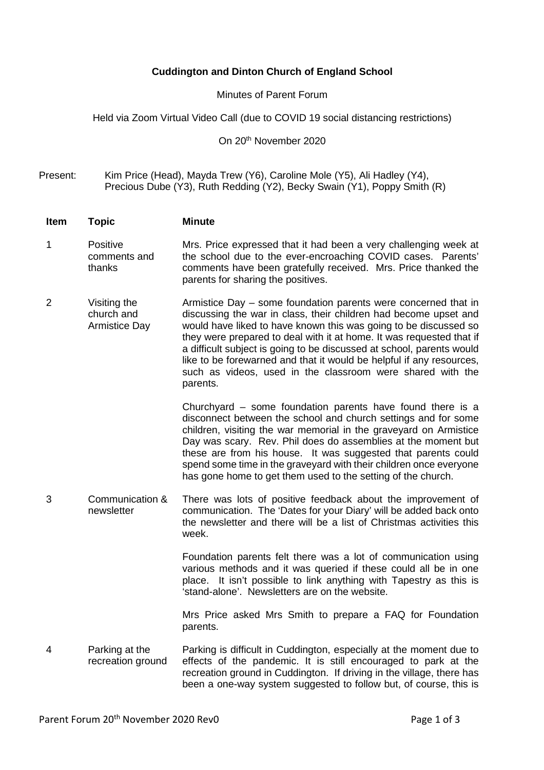## **Cuddington and Dinton Church of England School**

## Minutes of Parent Forum

Held via Zoom Virtual Video Call (due to COVID 19 social distancing restrictions)

On 20th November 2020

Present: Kim Price (Head), Mayda Trew (Y6), Caroline Mole (Y5), Ali Hadley (Y4), Precious Dube (Y3), Ruth Redding (Y2), Becky Swain (Y1), Poppy Smith (R)

**Item Topic Minute**

- 1 Positive comments and thanks Mrs. Price expressed that it had been a very challenging week at the school due to the ever-encroaching COVID cases. Parents' comments have been gratefully received. Mrs. Price thanked the parents for sharing the positives.
- 2 Visiting the church and Armistice Day Armistice Day – some foundation parents were concerned that in discussing the war in class, their children had become upset and would have liked to have known this was going to be discussed so they were prepared to deal with it at home. It was requested that if a difficult subject is going to be discussed at school, parents would like to be forewarned and that it would be helpful if any resources, such as videos, used in the classroom were shared with the parents.

Churchyard – some foundation parents have found there is a disconnect between the school and church settings and for some children, visiting the war memorial in the graveyard on Armistice Day was scary. Rev. Phil does do assemblies at the moment but these are from his house. It was suggested that parents could spend some time in the graveyard with their children once everyone has gone home to get them used to the setting of the church.

3 Communication & newsletter There was lots of positive feedback about the improvement of communication. The 'Dates for your Diary' will be added back onto the newsletter and there will be a list of Christmas activities this week.

> Foundation parents felt there was a lot of communication using various methods and it was queried if these could all be in one place. It isn't possible to link anything with Tapestry as this is 'stand-alone'. Newsletters are on the website.

> Mrs Price asked Mrs Smith to prepare a FAQ for Foundation parents.

4 Parking at the recreation ground Parking is difficult in Cuddington, especially at the moment due to effects of the pandemic. It is still encouraged to park at the recreation ground in Cuddington. If driving in the village, there has been a one-way system suggested to follow but, of course, this is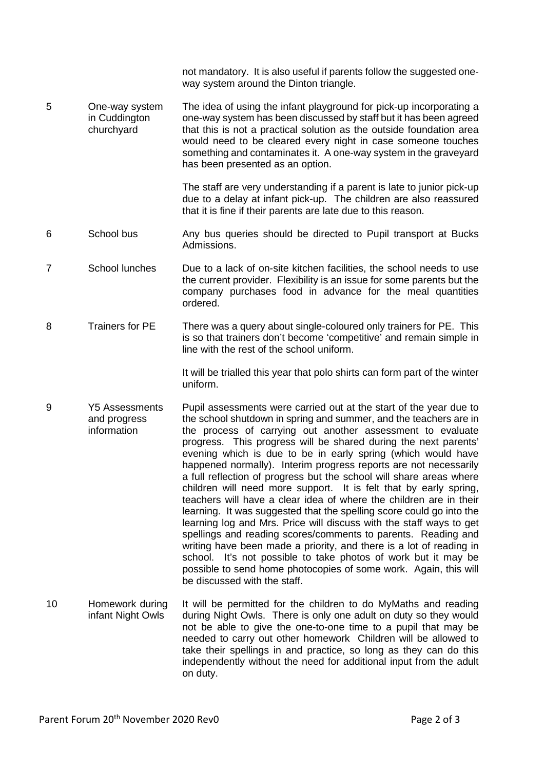not mandatory. It is also useful if parents follow the suggested oneway system around the Dinton triangle.

5 One-way system in Cuddington churchyard The idea of using the infant playground for pick-up incorporating a one-way system has been discussed by staff but it has been agreed that this is not a practical solution as the outside foundation area would need to be cleared every night in case someone touches something and contaminates it. A one-way system in the graveyard has been presented as an option.

> The staff are very understanding if a parent is late to junior pick-up due to a delay at infant pick-up. The children are also reassured that it is fine if their parents are late due to this reason.

- 6 School bus Any bus queries should be directed to Pupil transport at Bucks Admissions.
- 7 School lunches Due to a lack of on-site kitchen facilities, the school needs to use the current provider. Flexibility is an issue for some parents but the company purchases food in advance for the meal quantities ordered.
- 8 Trainers for PE There was a query about single-coloured only trainers for PE. This is so that trainers don't become 'competitive' and remain simple in line with the rest of the school uniform.

It will be trialled this year that polo shirts can form part of the winter uniform.

- 9 Y5 Assessments and progress information Pupil assessments were carried out at the start of the year due to the school shutdown in spring and summer, and the teachers are in the process of carrying out another assessment to evaluate progress. This progress will be shared during the next parents' evening which is due to be in early spring (which would have happened normally). Interim progress reports are not necessarily a full reflection of progress but the school will share areas where children will need more support. It is felt that by early spring, teachers will have a clear idea of where the children are in their learning. It was suggested that the spelling score could go into the learning log and Mrs. Price will discuss with the staff ways to get spellings and reading scores/comments to parents. Reading and writing have been made a priority, and there is a lot of reading in school. It's not possible to take photos of work but it may be possible to send home photocopies of some work. Again, this will be discussed with the staff.
- 10 Homework during infant Night Owls It will be permitted for the children to do MyMaths and reading during Night Owls. There is only one adult on duty so they would not be able to give the one-to-one time to a pupil that may be needed to carry out other homework Children will be allowed to take their spellings in and practice, so long as they can do this independently without the need for additional input from the adult on duty.